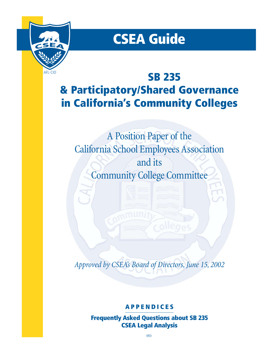

# **CSEA Guide**

# **SB 235 & Participatory/Shared Governance in California's Community Colleges**

A Position Paper of the California School Employees Association and its Community College Committee

*Approved by CSEA's Board of Directors, June 15, 2002*

## **APPENDICES**

**Frequently Asked Questions about SB 235 CSEA Legal Analysis**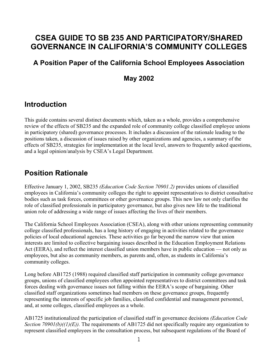# **CSEA GUIDE TO SB 235 AND PARTICIPATORY/SHARED GOVERNANCE IN CALIFORNIA'S COMMUNITY COLLEGES**

## **A Position Paper of the California School Employees Association**

## **May 2002**

# **Introduction**

This guide contains several distinct documents which, taken as a whole, provides a comprehensive review of the effects of SB235 and the expanded role of community college classified employee unions in participatory (shared) governance processes. It includes a discussion of the rationale leading to the positions taken, a discussion of issues raised by other organizations and agencies, a summary of the effects of SB235, strategies for implementation at the local level, answers to frequently asked questions, and a legal opinion/analysis by CSEA's Legal Department.

## **Position Rationale**

Effective January 1, 2002, SB235 *(Education Code Section 70901.2)* provides unions of classified employees in California's community colleges the right to appoint representatives to district consultative bodies such as task forces, committees or other governance groups. This new law not only clarifies the role of classified professionals in participatory governance, but also gives new life to the traditional union role of addressing a wide range of issues affecting the lives of their members.

The California School Employees Association (CSEA), along with other unions representing community college classified professionals, has a long history of engaging in activities related to the governance policies of local educational agencies. These activities go far beyond the narrow view that union interests are limited to collective bargaining issues described in the Education Employment Relations Act (EERA), and reflect the interest classified union members have in public education — not only as employees, but also as community members, as parents and, often, as students in California's community colleges.

Long before AB1725 (1988) required classified staff participation in community college governance groups, unions of classified employees often appointed representatives to district committees and task forces dealing with governance issues not falling within the EERA's scope of bargaining. Other classified staff organizations sometimes had members on these governance groups, frequently representing the interests of specific job families, classified confidential and management personnel, and, at some colleges, classified employees as a whole.

AB1725 institutionalized the participation of classified staff in governance decisions *(Education Code Section 70901(b)((1)(E)).* The requirements of AB1725 did not specifically require any organization to represent classified employees in the consultation process, but subsequent regulations of the Board of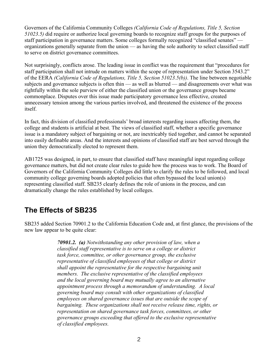Governors of the California Community Colleges *(California Code of Regulations, Title 5, Section 51023.5)* did require or authorize local governing boards to recognize staff groups for the purposes of staff participation in governance matters. Some colleges formally recognized "classified senates" organizations generally separate from the union — as having the sole authority to select classified staff to serve on district governance committees.

Not surprisingly, conflicts arose. The leading issue in conflict was the requirement that "procedures for staff participation shall not intrude on matters within the scope of representation under Section 3543.2" of the EERA *(California Code of Regulations, Title 5, Section 51023.5(b))*. The line between negotiable subjects and governance subjects is often thin — as well as blurred — and disagreements over what was rightfully within the sole purview of either the classified union or the governance groups became commonplace. Disputes over this issue made participatory governance less effective, created unnecessary tension among the various parties involved, and threatened the existence of the process itself.

In fact, this division of classified professionals' broad interests regarding issues affecting them, the college and students is artificial at best. The views of classified staff, whether a specific governance issue is a mandatory subject of bargaining or not, are inextricably tied together, and cannot be separated into easily definable areas. And the interests and opinions of classified staff are best served through the union they democratically elected to represent them.

AB1725 was designed, in part, to ensure that classified staff have meaningful input regarding college governance matters, but did not create clear rules to guide how the process was to work. The Board of Governors of the California Community Colleges did little to clarify the rules to be followed, and local community college governing boards adopted policies that often bypassed the local union(s) representing classified staff. SB235 clearly defines the role of unions in the process, and can dramatically change the rules established by local colleges.

# **The Effects of SB235**

SB235 added Section 70901.2 to the California Education Code and, at first glance, the provisions of the new law appear to be quite clear:

> *70901.2. (a) Notwithstanding any other provision of law, when a classified staff representative is to serve on a college or district task force, committee, or other governance group, the exclusive representative of classified employees of that college or district shall appoint the representative for the respective bargaining unit members. The exclusive representative of the classified employees and the local governing board may mutually agree to an alternative appointment process through a memorandum of understanding. A local governing board may consult with other organizations of classified employees on shared governance issues that are outside the scope of bargaining. These organizations shall not receive release time, rights, or representation on shared governance task forces, committees, or other governance groups exceeding that offered to the exclusive representative of classified employees.*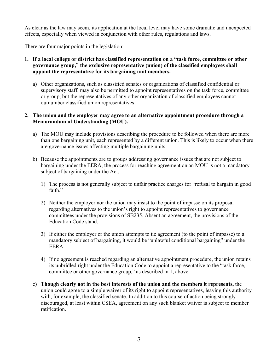As clear as the law may seem, its application at the local level may have some dramatic and unexpected effects, especially when viewed in conjunction with other rules, regulations and laws.

There are four major points in the legislation:

- **1. If a local college or district has classified representation on a "task force, committee or other governance group," the exclusive representative (union) of the classified employees shall appoint the representative for its bargaining unit members.** 
	- a) Other organizations, such as classified senates or organizations of classified confidential or supervisory staff, may also be permitted to appoint representatives on the task force, committee or group, but the representatives of any other organization of classified employees cannot outnumber classified union representatives.

#### **2. The union and the employer may agree to an alternative appointment procedure through a Memorandum of Understanding (MOU).**

- a) The MOU may include provisions describing the procedure to be followed when there are more than one bargaining unit, each represented by a different union. This is likely to occur when there are governance issues affecting multiple bargaining units.
- b) Because the appointments are to groups addressing governance issues that are not subject to bargaining under the EERA, the process for reaching agreement on an MOU is not a mandatory subject of bargaining under the Act.
	- 1) The process is not generally subject to unfair practice charges for "refusal to bargain in good faith"
	- 2) Neither the employer nor the union may insist to the point of impasse on its proposal regarding alternatives to the union's right to appoint representatives to governance committees under the provisions of SB235. Absent an agreement, the provisions of the Education Code stand.
	- 3) If either the employer or the union attempts to tie agreement (to the point of impasse) to a mandatory subject of bargaining, it would be "unlawful conditional bargaining" under the EERA.
	- 4) If no agreement is reached regarding an alternative appointment procedure, the union retains its unbridled right under the Education Code to appoint a representative to the "task force, committee or other governance group," as described in 1, above.
- c) **Though clearly not in the best interests of the union and the members it represents,** the union could agree to a simple waiver of its right to appoint representatives, leaving this authority with, for example, the classified senate. In addition to this course of action being strongly discouraged, at least within CSEA, agreement on any such blanket waiver is subject to member ratification.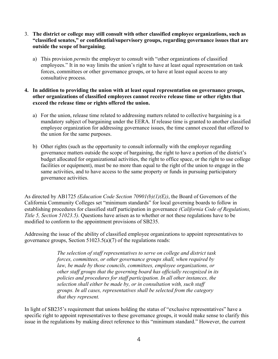- 3. **The district or college may still consult with other classified employee organizations, such as "classified senates," or confidential/supervisory groups, regarding governance issues that are outside the scope of bargaining**.
	- a) This provision *permits* the employer to consult with "other organizations of classified employees." It in no way limits the union's right to have at least equal representation on task forces, committees or other governance groups, or to have at least equal access to any consultative process.

#### **4. In addition to providing the union with at least equal representation on governance groups, other organizations of classified employees cannot receive release time or other rights that exceed the release time or rights offered the union.**

- a) For the union, release time related to addressing matters related to collective bargaining is a mandatory subject of bargaining under the EERA. If release time is granted to another classified employee organization for addressing governance issues, the time cannot exceed that offered to the union for the same purposes.
- b) Other rights (such as the opportunity to consult informally with the employer regarding governance matters outside the scope of bargaining, the right to have a portion of the district's budget allocated for organizational activities, the right to office space, or the right to use college facilities or equipment), must be no more than equal to the right of the union to engage in the same activities, and to have access to the same property or funds in pursuing participatory governance activities.

As directed by AB1725 *(Education Code Section 70901(b)(1)(E))*, the Board of Governors of the California Community Colleges set "minimum standards" for local governing boards to follow in establishing procedures for classified staff participation in governance *(California Code of Regulations, Title 5, Section 51023.5)*. Questions have arisen as to whether or not these regulations have to be modified to conform to the appointment provisions of SB235.

Addressing the issue of the ability of classified employee organizations to appoint representatives to governance groups, Section 51023.5(a)(7) of the regulations reads:

> *The selection of staff representatives to serve on college and district task forces, committees, or other governance groups shall, when required by law, be made by those councils, committees, employee organizations, or other staff groups that the governing board has officially recognized in its policies and procedures for staff participation. In all other instances, the selection shall either be made by, or in consultation with, such staff groups. In all cases, representatives shall be selected from the category that they represent.*

In light of SB235's requirement that unions holding the status of "exclusive representatives" have a specific right to appoint representatives to these governance groups, it would make sense to clarify this issue in the regulations by making direct reference to this "minimum standard." However, the current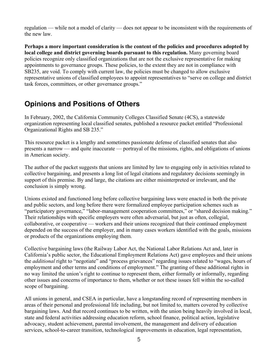regulation — while not a model of clarity — does not appear to be inconsistent with the requirements of the new law.

**Perhaps a more important consideration is the content of the policies and procedures adopted by local college and district governing boards pursuant to this regulation.** Many governing board policies recognize only classified organizations that are not the exclusive representative for making appointments to governance groups. These policies, to the extent they are not in compliance with SB235, are void. To comply with current law, the policies must be changed to allow exclusive representative unions of classified employees to appoint representatives to "serve on college and district task forces, committees, or other governance groups."

# **Opinions and Positions of Others**

In February, 2002, the California Community Colleges Classified Senate (4CS), a statewide organization representing local classified senates, published a resource packet entitled "Professional Organizational Rights and SB 235."

This resource packet is a lengthy and sometimes passionate defense of classified senates that also presents a narrow — and quite inaccurate — portrayal of the missions, rights, and obligations of unions in American society.

The author of the packet suggests that unions are limited by law to engaging only in activities related to collective bargaining, and presents a long list of legal citations and regulatory decisions seemingly in support of this premise. By and large, the citations are either misinterpreted or irrelevant, and the conclusion is simply wrong.

Unions existed and functioned long before collective bargaining laws were enacted in both the private and public sectors, and long before there were formalized employee participation schemes such as "participatory governance," "labor-management cooperation committees," or "shared decision making." Their relationships with specific employers were often adversarial, but just as often, collegial, collaborative, or cooperative — workers and their unions recognized that their continued employment depended on the success of the employer, and in many cases workers identified with the goals, missions or products of the organizations employing them.

Collective bargaining laws (the Railway Labor Act, the National Labor Relations Act and, later in California's public sector, the Educational Employment Relations Act) gave employees and their unions the *additional* right to "negotiate" and "process grievances" regarding issues related to "wages, hours of employment and other terms and conditions of employment." The granting of these additional rights in no way limited the union's right to continue to represent them, either formally or informally, regarding other issues and concerns of importance to them, whether or not these issues fell within the so-called scope of bargaining.

All unions in general, and CSEA in particular, have a longstanding record of representing members in areas of their personal and professional life including, but not limited to, matters covered by collective bargaining laws. And that record continues to be written, with the union being heavily involved in local, state and federal activities addressing education reform, school finance, political action, legislative advocacy, student achievement, parental involvement, the management and delivery of education services, school-to-career transition, technological improvements in education, legal representation,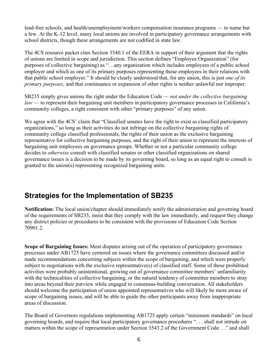lead-free schools, and health/unemployment/workers compensation insurance programs — to name but a few. At the K-12 level, many local unions are involved in participatory governance arrangements with school districts, though these arrangements are not codified in state law.

The 4CS resource packet cites Section 3540.1 of the EERA in support of their argument that the rights of unions are limited in scope and jurisdiction. This section defines "Employee Organization" (for purposes of collective bargaining) as "…any organization which includes employees of a public school employer and which as one of its primary purposes representing those employees in their relations with that public school employer." It should be clearly understood that, for any union, this is just *one of its primary purposes*, and that continuance or expansion of other rights is neither unlawful nor improper.

SB235 simply gives unions the right under the Education Code — *not under the collective bargaining law* — to represent their bargaining unit members in participatory governance processes in California's community colleges, a right consistent with other "primary purposes" of any union.

We agree with the 4CS' claim that "Classified senates have the right to exist as classified participatory organizations," so long as their activities do not infringe on the collective bargaining rights of community college classified professionals, the rights of their union as the exclusive bargaining representative for collective bargaining purposes, and the right of their union to represent the interests of bargaining unit employees on governance groups. Whether or not a particular community college decides to *otherwise* consult with classified senates or other classified organizations on shared governance issues is a decision to be made by its governing board, so long as an equal right to consult is granted to the union(s) representing recognized bargaining units.

# **Strategies for the Implementation of SB235**

**Notification:** The local union/chapter should immediately notify the administration and governing board of the requirements of SB235, insist that they comply with the law immediately, and request they change any district policies or procedures to be consistent with the provisions of Education Code Section 70901.2.

**Scope of Bargaining Issues:** Most disputes arising out of the operation of participatory governance processes under AB1725 have centered on issues where the governance committees discussed and/or made recommendations concerning subjects within the scope of bargaining, and which were properly subject to negotiations with the exclusive representative(s) of classified staff. Some of these prohibited activities were probably unintentional, growing out of governance committee members' unfamiliarity with the technicalities of collective bargaining, or the natural tendency of committee members to stray into areas beyond their purview while engaged in consensus-building conversation. All stakeholders should welcome the participation of union appointed representatives who will likely be more aware of scope of bargaining issues, and will be able to guide the other participants away from inappropriate areas of discussion.

The Board of Governors regulations implementing AB1725 apply certain "minimum standards" on local governing boards, and require that local participatory governance procedures ". . . shall not intrude on matters within the scope of representation under Section 3543.2 of the Government Code. . ." and shall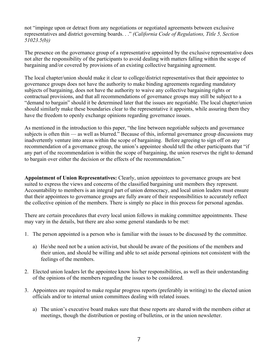not "impinge upon or detract from any negotiations or negotiated agreements between exclusive representatives and district governing boards. . ." *(California Code of Regulations, Title 5, Section 51023.5(b))* 

The presence on the governance group of a representative appointed by the exclusive representative does not alter the responsibility of the participants to avoid dealing with matters falling within the scope of bargaining and/or covered by provisions of an existing collective bargaining agreement.

The local chapter/union should make it clear to college/district representatives that their appointee to governance groups does not have the authority to make binding agreements regarding mandatory subjects of bargaining, does not have the authority to waive any collective bargaining rights or contractual provisions, and that all recommendations of governance groups may still be subject to a "demand to bargain" should it be determined later that the issues are negotiable. The local chapter/union should similarly make these boundaries clear to the representative it appoints, while assuring them they have the freedom to openly exchange opinions regarding governance issues.

As mentioned in the introduction to this paper, "the line between negotiable subjects and governance subjects is often thin — as well as blurred." Because of this, informal governance group discussions may inadvertently venture into areas within the scope of bargaining. Before agreeing to sign off on any recommendation of a governance group, the union's appointee should tell the other participants that "if any part of the recommendation is within the scope of bargaining, the union reserves the right to demand to bargain over either the decision or the effects of the recommendation."

**Appointment of Union Representatives:** Clearly, union appointees to governance groups are best suited to express the views and concerns of the classified bargaining unit members they represent. Accountability to members is an integral part of union democracy, and local union leaders must ensure that their appointees to governance groups are fully aware of their responsibilities to accurately reflect the collective opinion of the members. There is simply no place in this process for personal agendas.

There are certain procedures that every local union follows in making committee appointments. These may vary in the details, but there are also some general standards to be met:

- 1. The person appointed is a person who is familiar with the issues to be discussed by the committee.
	- a) He/she need not be a union activist, but should be aware of the positions of the members and their union, and should be willing and able to set aside personal opinions not consistent with the feelings of the members.
- 2. Elected union leaders let the appointee know his/her responsibilities, as well as their understanding of the opinions of the members regarding the issues to be considered.
- 3. Appointees are required to make regular progress reports (preferably in writing) to the elected union officials and/or to internal union committees dealing with related issues.
	- a) The union's executive board makes sure that these reports are shared with the members either at meetings, though the distribution or posting of bulletins, or in the union newsletter.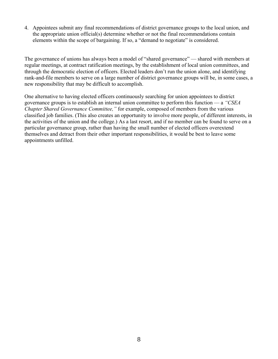4. Appointees submit any final recommendations of district governance groups to the local union, and the appropriate union official(s) determine whether or not the final recommendations contain elements within the scope of bargaining. If so, a "demand to negotiate" is considered.

The governance of unions has always been a model of "shared governance" — shared with members at regular meetings, at contract ratification meetings, by the establishment of local union committees, and through the democratic election of officers. Elected leaders don't run the union alone, and identifying rank-and-file members to serve on a large number of district governance groups will be, in some cases, a new responsibility that may be difficult to accomplish.

One alternative to having elected officers continuously searching for union appointees to district governance groups is to establish an internal union committee to perform this function — a *"CSEA Chapter Shared Governance Committee,"* for example, composed of members from the various classified job families. (This also creates an opportunity to involve more people, of different interests, in the activities of the union and the college.) As a last resort, and if no member can be found to serve on a particular governance group, rather than having the small number of elected officers overextend themselves and detract from their other important responsibilities, it would be best to leave some appointments unfilled.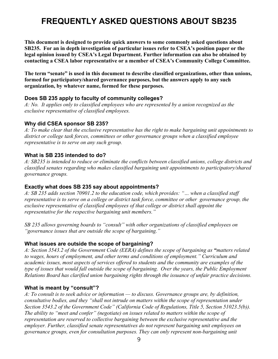# **FREQUENTLY ASKED QUESTIONS ABOUT SB235**

**This document is designed to provide quick answers to some commonly asked questions about SB235. For an in depth investigation of particular issues refer to CSEA's position paper or the legal opinion issued by CSEA's Legal Department. Further information can also be obtained by contacting a CSEA labor representative or a member of CSEA's Community College Committee.** 

**The term "senate" is used in this document to describe classified organizations, other than unions, formed for participatory/shared governance purposes, but the answers apply to any such organization, by whatever name, formed for these purposes.** 

#### **Does SB 235 apply to faculty of community colleges?**

*A: No. It applies only to classified employees who are represented by a union recognized as the exclusive representative of classified employees.*

#### **Why did CSEA sponsor SB 235?**

*A: To make clear that the exclusive representative has the right to make bargaining unit appointments to district or college task forces, committees or other governance groups when a classified employee representative is to serve on any such group.* 

#### **What is SB 235 intended to do?**

*A: SB235 is intended to reduce or eliminate the conflicts between classified unions, college districts and classified senates regarding who makes classified bargaining unit appointments to participatory/shared governance groups.* 

#### **Exactly what does SB 235 say about appointments?**

*A: SB 235 adds section 70901.2 to the education code, which provides: "… when a classified staff representative is to serve on a college or district task force, committee or other governance group, the exclusive representative of classified employees of that college or district shall appoint the representative for the respective bargaining unit members."* 

*SB 235 allows governing boards to "consult" with other organizations of classified employees on "governance issues that are outside the scope of bargaining."* 

#### **What issues are outside the scope of bargaining?**

*A: Section 3543.2 of the Government Code (EERA) defines the scope of bargaining as "matters related to wages, hours of employment, and other terms and conditions of employment." Curriculum and academic issues, most aspects of services offered to students and the community are examples of the type of issues that would fall outside the scope of bargaining. Over the years, the Public Employment Relations Board has clarified union bargaining rights through the issuance of unfair practice decisions.* 

#### **What is meant by "consult"?**

*A: To consult is to seek advice or information — to discuss. Governance groups are, by definition, consultative bodies, and they "shall not intrude on matters within the scope of representation under Section 3543.2 of the Government Code" (California Code of Regulations, Title 5, Section 51023.5(b)). The ability to "meet and confer" (negotiate) on issues related to matters within the scope of representation are reserved to collective bargaining between the exclusive representative and the employer. Further, classified senate representatives do not represent bargaining unit employees on governance groups, even for consultation purposes. They can only represent non-bargaining unit*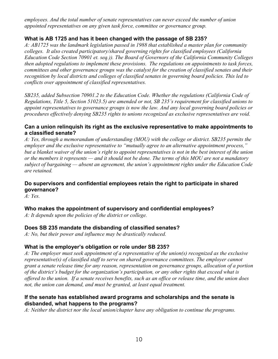*employees. And the total number of senate representatives can never exceed the number of union appointed representatives on any given task force, committee or governance group.* 

### **What is AB 1725 and has it been changed with the passage of SB 235?**

*A: AB1725 was the landmark legislation passed in 1988 that established a master plan for community colleges. It also created participatory/shared governing rights for classified employees (California Education Code Section 70901 et. seq.)). The Board of Governors of the California Community Colleges then adopted regulations to implement these provisions. The regulations on appointments to task forces, committees and other governance groups was the catalyst for the creation of classified senates and their recognition by local districts and colleges of classified senates in governing board policies. This led to conflicts over appointment of classified representatives.* 

*SB235, added Subsection 70901.2 to the Education Code. Whether the regulations (California Code of Regulations, Title 5, Section 51023.5) are amended or not, SB 235's requirement for classified unions to appoint representatives to governance groups is now the law. And any local governing board policies or procedures effectively denying SB235 rights to unions recognized as exclusive representatives are void.* 

#### **Can a union relinquish its right as the exclusive representative to make appointments to a classified senate?**

*A: Yes, through a memorandum of understanding (MOU) with the college or district. SB235 permits the employer and the exclusive representative to "mutually agree to an alternative appointment process," but a blanket waiver of the union's right to appoint representatives is not in the best interest of the union or the members it represents — and it should not be done. The terms of this MOU are not a mandatory subject of bargaining — absent an agreement, the union's appointment rights under the Education Code are retained.* 

### **Do supervisors and confidential employees retain the right to participate in shared governance?**

*A: Yes.* 

## **Who makes the appointment of supervisory and confidential employees?**

*A: It depends upon the policies of the district or college.* 

## **Does SB 235 mandate the disbanding of classified senates?**

*A: No, but their power and influence may be drastically reduced.* 

#### **What is the employer's obligation or role under SB 235?**

*A: The employer must seek appointment of a representative of the union(s) recognized as the exclusive representative(s) of classified staff to serve on shared governance committees. The employer cannot grant a senate release time for any reason, representation on governance groups, allocation of a portion of the district's budget for the organization's participation, or any other rights that exceed what is offered to the union. If a senate receives benefits, such as an office or release time, and the union does*  not, the union can demand, and must be granted, at least equal treatment.

#### **If the senate has established award programs and scholarships and the senate is disbanded, what happens to the programs?**

*A: Neither the district nor the local union/chapter have any obligation to continue the programs.*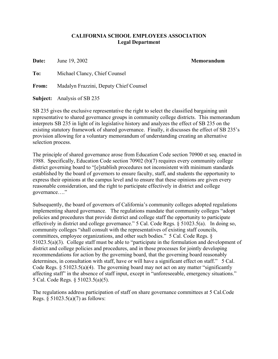#### **CALIFORNIA SCHOOL EMPLOYEES ASSOCIATION Legal Department**

**Date:** June 19, 2002 **Memorandum** 

**To:** Michael Clancy, Chief Counsel

**From:** Madalyn Frazzini, Deputy Chief Counsel

**Subject:** Analysis of SB 235

SB 235 gives the exclusive representative the right to select the classified bargaining unit representative to shared governance groups in community college districts. This memorandum interprets SB 235 in light of its legislative history and analyzes the effect of SB 235 on the existing statutory framework of shared governance. Finally, it discusses the effect of SB 235's provision allowing for a voluntary memorandum of understanding creating an alternative selection process.

The principle of shared governance arose from Education Code section 70900 et seq. enacted in 1988. Specifically, Education Code section 70902 (b)(7) requires every community college district governing board to "[e]stablish procedures not inconsistent with minimum standards established by the board of governors to ensure faculty, staff, and students the opportunity to express their opinions at the campus level and to ensure that these opinions are given every reasonable consideration, and the right to participate effectively in district and college governance…."

Subsequently, the board of governors of California's community colleges adopted regulations implementing shared governance. The regulations mandate that community colleges "adopt policies and procedures that provide district and college staff the opportunity to participate effectively in district and college governance." 5 Cal. Code Regs. § 51023.5(a). In doing so, community colleges "shall consult with the representatives of existing staff councils, committees, employee organizations, and other such bodies." 5 Cal. Code Regs. § 51023.5(a)(3). College staff must be able to "participate in the formulation and development of district and college policies and procedures, and in those processes for jointly developing recommendations for action by the governing board, that the governing board reasonably determines, in consultation with staff, have or will have a significant effect on staff." 5 Cal. Code Regs.  $\S 51023.5(a)(4)$ . The governing board may not act on any matter "significantly" affecting staff" in the absence of staff input, except in "unforeseeable, emergency situations." 5 Cal. Code Regs. § 51023.5(a)(5).

The regulations address participation of staff on share governance committees at 5 Cal.Code Regs.  $\S 51023.5(a)(7)$  as follows: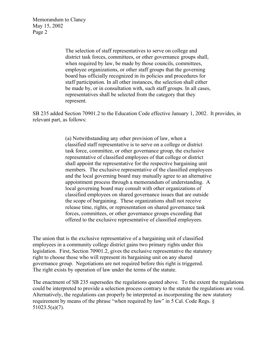Memorandum to Clancy May 15, 2002 Page 2

> The selection of staff representatives to serve on college and district task forces, committees, or other governance groups shall, when required by law, be made by those councils, committees, employee organizations, or other staff groups that the governing board has officially recognized in its policies and procedures for staff participation. In all other instances, the selection shall either be made by, or in consultation with, such staff groups. In all cases, representatives shall be selected from the category that they represent.

SB 235 added Section 70901.2 to the Education Code effective January 1, 2002. It provides, in relevant part, as follows:

> (a) Notwithstanding any other provision of law, when a classified staff representative is to serve on a college or district task force, committee, or other governance group, the exclusive representative of classified employees of that college or district shall appoint the representative for the respective bargaining unit members. The exclusive representative of the classified employees and the local governing board may mutually agree to an alternative appointment process through a memorandum of understanding. A local governing board may consult with other organizations of classified employees on shared governance issues that are outside the scope of bargaining. These organizations shall not receive release time, rights, or representation on shared governance task forces, committees, or other governance groups exceeding that offered to the exclusive representative of classified employees.

The union that is the exclusive representative of a bargaining unit of classified employees in a community college district gains two primary rights under this legislation. First, Section 70901.2, gives the exclusive representative the statutory right to choose those who will represent its bargaining unit on any shared governance group. Negotiations are not required before this right is triggered. The right exists by operation of law under the terms of the statute.

The enactment of SB 235 supersedes the regulations quoted above. To the extent the regulations could be interpreted to provide a selection process contrary to the statute the regulations are void. Alternatively, the regulations can properly be interpreted as incorporating the new statutory requirement by means of the phrase "when required by law" in 5 Cal. Code Regs. § 51023.5(a)(7).